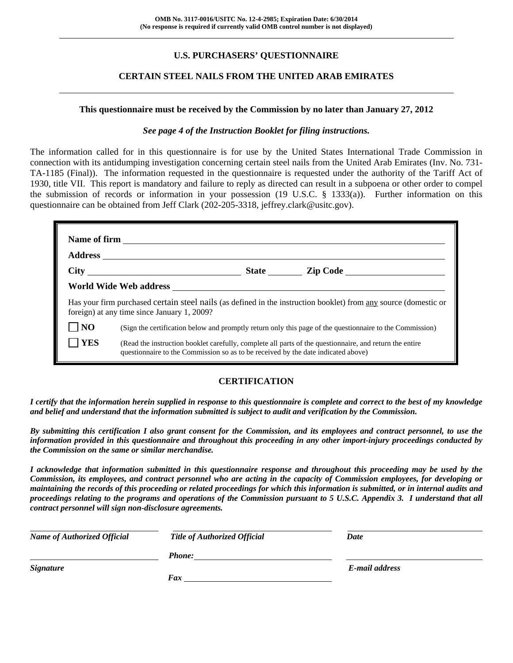# **U.S. PURCHASERS' QUESTIONNAIRE**

## **CERTAIN STEEL NAILS FROM THE UNITED ARAB EMIRATES**

#### **This questionnaire must be received by the Commission by no later than January 27, 2012**

#### *See page 4 of the Instruction Booklet for filing instructions.*

The information called for in this questionnaire is for use by the United States International Trade Commission in connection with its antidumping investigation concerning certain steel nails from the United Arab Emirates (Inv. No. 731- TA-1185 (Final)). The information requested in the questionnaire is requested under the authority of the Tariff Act of 1930, title VII. This report is mandatory and failure to reply as directed can result in a subpoena or other order to compel the submission of records or information in your possession (19 U.S.C. § 1333(a)). Further information on this questionnaire can be obtained from Jeff Clark (202-205-3318, jeffrey.clark@usitc.gov).

| Has your firm purchased certain steel nails (as defined in the instruction booklet) from any source (domestic or<br>foreign) at any time since January 1, 2009? |                                                                                                                                                                                              |  |  |  |  |
|-----------------------------------------------------------------------------------------------------------------------------------------------------------------|----------------------------------------------------------------------------------------------------------------------------------------------------------------------------------------------|--|--|--|--|
| NO                                                                                                                                                              | (Sign the certification below and promptly return only this page of the questionnaire to the Commission)                                                                                     |  |  |  |  |
| YES                                                                                                                                                             | (Read the instruction booklet carefully, complete all parts of the questionnaire, and return the entire<br>questionnaire to the Commission so as to be received by the date indicated above) |  |  |  |  |

### **CERTIFICATION**

*I certify that the information herein supplied in response to this questionnaire is complete and correct to the best of my knowledge and belief and understand that the information submitted is subject to audit and verification by the Commission.* 

*By submitting this certification I also grant consent for the Commission, and its employees and contract personnel, to use the information provided in this questionnaire and throughout this proceeding in any other import-injury proceedings conducted by the Commission on the same or similar merchandise.* 

*I acknowledge that information submitted in this questionnaire response and throughout this proceeding may be used by the Commission, its employees, and contract personnel who are acting in the capacity of Commission employees, for developing or maintaining the records of this proceeding or related proceedings for which this information is submitted, or in internal audits and proceedings relating to the programs and operations of the Commission pursuant to 5 U.S.C. Appendix 3. I understand that all contract personnel will sign non-disclosure agreements.* 

| <b>Name of Authorized Official</b> | Title of Authorized Official | Date           |
|------------------------------------|------------------------------|----------------|
|                                    | <b>Phone:</b>                |                |
| <b>Signature</b>                   |                              | E-mail address |
|                                    | Fax                          |                |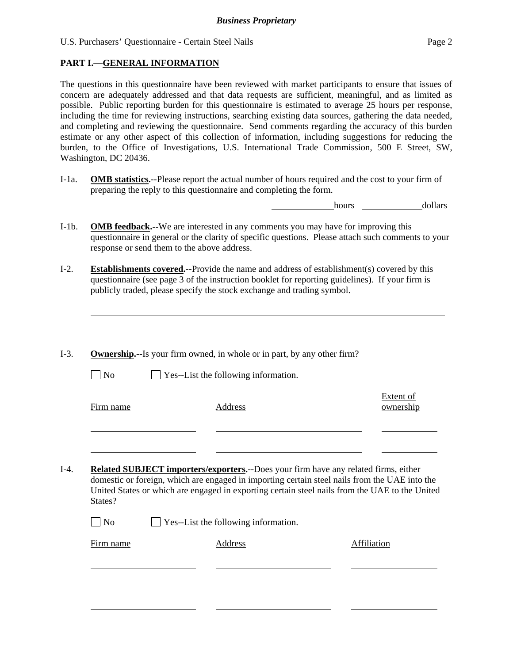l

The questions in this questionnaire have been reviewed with market participants to ensure that issues of concern are adequately addressed and that data requests are sufficient, meaningful, and as limited as possible. Public reporting burden for this questionnaire is estimated to average 25 hours per response, including the time for reviewing instructions, searching existing data sources, gathering the data needed, and completing and reviewing the questionnaire. Send comments regarding the accuracy of this burden estimate or any other aspect of this collection of information, including suggestions for reducing the burden, to the Office of Investigations, U.S. International Trade Commission, 500 E Street, SW, Washington, DC 20436.

I-1a. **OMB statistics.--**Please report the actual number of hours required and the cost to your firm of preparing the reply to this questionnaire and completing the form.

hours dollars

- I-1b. **OMB feedback.--**We are interested in any comments you may have for improving this questionnaire in general or the clarity of specific questions. Please attach such comments to your response or send them to the above address.
- I-2. **Establishments covered.--**Provide the name and address of establishment(s) covered by this questionnaire (see page 3 of the instruction booklet for reporting guidelines). If your firm is publicly traded, please specify the stock exchange and trading symbol.
- I-3. **Ownership.--**Is your firm owned, in whole or in part, by any other firm?  $\Box$  No  $\Box$  Yes--List the following information. Firm name Address Extent of ownership l l I-4. **Related SUBJECT importers/exporters.--**Does your firm have any related firms, either domestic or foreign, which are engaged in importing certain steel nails from the UAE into the United States or which are engaged in exporting certain steel nails from the UAE to the United States?  $\Box$  No  $\Box$  Yes--List the following information. Firm name Address Address Address Affiliation l l l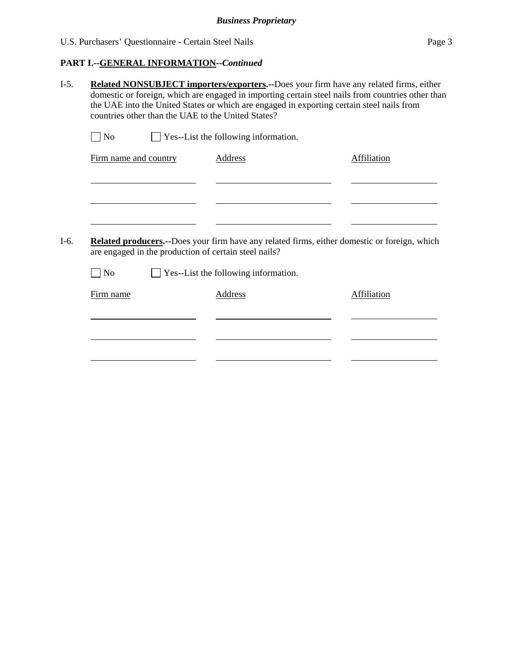# **PART I.--GENERAL INFORMATION***--Continued*

| Related NONSUBJECT importers/exporters.--Does your firm have any related firms, either<br>domestic or foreign, which are engaged in importing certain steel nails from countries other than<br>the UAE into the United States or which are engaged in exporting certain steel nails from<br>countries other than the UAE to the United States? |  |                                                                                                                                                       |                    |  |
|------------------------------------------------------------------------------------------------------------------------------------------------------------------------------------------------------------------------------------------------------------------------------------------------------------------------------------------------|--|-------------------------------------------------------------------------------------------------------------------------------------------------------|--------------------|--|
| $\Box$ No                                                                                                                                                                                                                                                                                                                                      |  | $\Box$ Yes--List the following information.                                                                                                           |                    |  |
| Firm name and country                                                                                                                                                                                                                                                                                                                          |  | <b>Address</b>                                                                                                                                        | <b>Affiliation</b> |  |
|                                                                                                                                                                                                                                                                                                                                                |  |                                                                                                                                                       |                    |  |
|                                                                                                                                                                                                                                                                                                                                                |  |                                                                                                                                                       |                    |  |
|                                                                                                                                                                                                                                                                                                                                                |  |                                                                                                                                                       |                    |  |
|                                                                                                                                                                                                                                                                                                                                                |  | Related producers.--Does your firm have any related firms, either domestic or foreign, which<br>are engaged in the production of certain steel nails? |                    |  |
| $\Box$ No                                                                                                                                                                                                                                                                                                                                      |  | Yes--List the following information.                                                                                                                  |                    |  |
| Firm name                                                                                                                                                                                                                                                                                                                                      |  | <b>Address</b>                                                                                                                                        | <b>Affiliation</b> |  |
|                                                                                                                                                                                                                                                                                                                                                |  |                                                                                                                                                       |                    |  |
|                                                                                                                                                                                                                                                                                                                                                |  |                                                                                                                                                       |                    |  |
|                                                                                                                                                                                                                                                                                                                                                |  |                                                                                                                                                       |                    |  |
|                                                                                                                                                                                                                                                                                                                                                |  |                                                                                                                                                       |                    |  |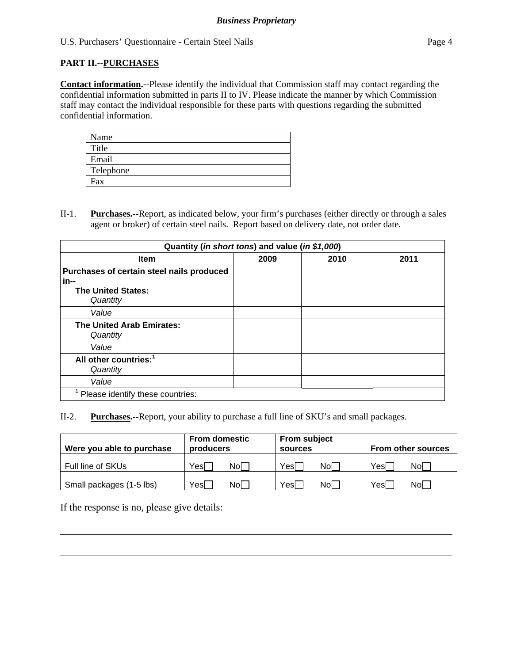## **PART II.--PURCHASES**

**Contact information.**--Please identify the individual that Commission staff may contact regarding the confidential information submitted in parts II to IV. Please indicate the manner by which Commission staff may contact the individual responsible for these parts with questions regarding the submitted confidential information.

| Name      |  |
|-----------|--|
| Title     |  |
| Email     |  |
| Telephone |  |
| Fax       |  |

II-1. **Purchases.--**Report, as indicated below, your firm's purchases (either directly or through a sales agent or broker) of certain steel nails. Report based on delivery date, not order date.

| Quantity (in short tons) and value (in \$1,000) |      |      |      |  |
|-------------------------------------------------|------|------|------|--|
| <b>Item</b>                                     | 2009 | 2010 | 2011 |  |
| Purchases of certain steel nails produced       |      |      |      |  |
| in--                                            |      |      |      |  |
| <b>The United States:</b>                       |      |      |      |  |
| Quantity                                        |      |      |      |  |
| Value                                           |      |      |      |  |
| <b>The United Arab Emirates:</b>                |      |      |      |  |
| Quantity                                        |      |      |      |  |
| Value                                           |      |      |      |  |
| All other countries: <sup>1</sup>               |      |      |      |  |
| Quantity                                        |      |      |      |  |
| Value                                           |      |      |      |  |
| Please identify these countries:                |      |      |      |  |

II-2. **Purchases.--**Report, your ability to purchase a full line of SKU's and small packages.

| Were you able to purchase | <b>From domestic</b><br>producers | <b>From subject</b><br>sources | <b>From other sources</b> |  |
|---------------------------|-----------------------------------|--------------------------------|---------------------------|--|
| Full line of SKUs         | Yesl                              | Yesl                           | Yesl                      |  |
|                           | Nol                               | Nol                            | Nol                       |  |
| Small packages (1-5 lbs)  | Yesl                              | Yes                            | Yesl                      |  |
|                           | Nol                               | Nol                            | Nol                       |  |

If the response is no, please give details:

l

l

l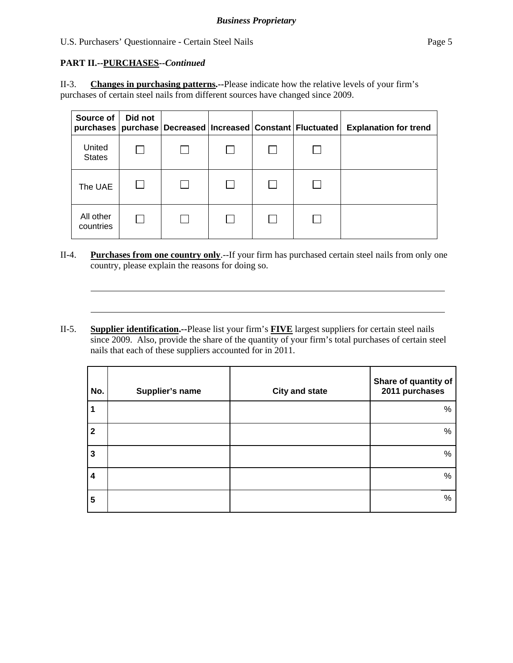# **PART II.--PURCHASES***--Continued*

l

l

II-3. **Changes in purchasing patterns.--**Please indicate how the relative levels of your firm's purchases of certain steel nails from different sources have changed since 2009.

| Source of<br>purchases  | Did not |  | purchase   Decreased   Increased   Constant   Fluctuated | <b>Explanation for trend</b> |
|-------------------------|---------|--|----------------------------------------------------------|------------------------------|
| United<br><b>States</b> |         |  |                                                          |                              |
| The UAE                 |         |  |                                                          |                              |
| All other<br>countries  |         |  |                                                          |                              |

- II-4. **Purchases from one country only**.--If your firm has purchased certain steel nails from only one country, please explain the reasons for doing so.
- II-5. **Supplier identification.--**Please list your firm's **FIVE** largest suppliers for certain steel nails since 2009. Also, provide the share of the quantity of your firm's total purchases of certain steel nails that each of these suppliers accounted for in 2011.

| No.          | Supplier's name | <b>City and state</b> | Share of quantity of<br>2011 purchases |
|--------------|-----------------|-----------------------|----------------------------------------|
|              |                 |                       | %                                      |
| $\mathbf{2}$ |                 |                       | %                                      |
| 3            |                 |                       | %                                      |
| 4            |                 |                       | %                                      |
| 5            |                 |                       | %                                      |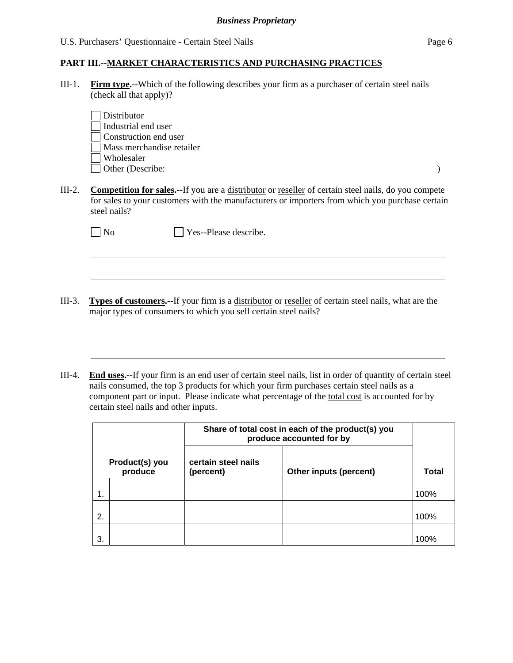III-1. **Firm type.--**Which of the following describes your firm as a purchaser of certain steel nails (check all that apply)?

| Distributor               |  |  |
|---------------------------|--|--|
| Industrial end user       |  |  |
| Construction end user     |  |  |
| Mass merchandise retailer |  |  |
| Wholesaler                |  |  |
| $\Box$ Other (Describe:   |  |  |
|                           |  |  |

III-2. **Competition for sales.--**If you are a distributor or reseller of certain steel nails, do you compete for sales to your customers with the manufacturers or importers from which you purchase certain steel nails?

No **No** Yes--Please describe.

 $\overline{a}$ 

 $\overline{a}$ 

III-3. **Types of customers.--**If your firm is a distributor or reseller of certain steel nails, what are the major types of consumers to which you sell certain steel nails?

<u> 1989 - Johann Stoff, amerikansk politiker (\* 1908)</u>

III-4. **End uses.--**If your firm is an end user of certain steel nails, list in order of quantity of certain steel nails consumed, the top 3 products for which your firm purchases certain steel nails as a component part or input. Please indicate what percentage of the total cost is accounted for by certain steel nails and other inputs.

|                           |  | Share of total cost in each of the product(s) you<br>produce accounted for by |  |       |
|---------------------------|--|-------------------------------------------------------------------------------|--|-------|
| Product(s) you<br>produce |  | certain steel nails<br>Other inputs (percent)<br>(percent)                    |  | Total |
|                           |  |                                                                               |  | 100%  |
| 2.                        |  |                                                                               |  | 100%  |
| 3.                        |  |                                                                               |  | 100%  |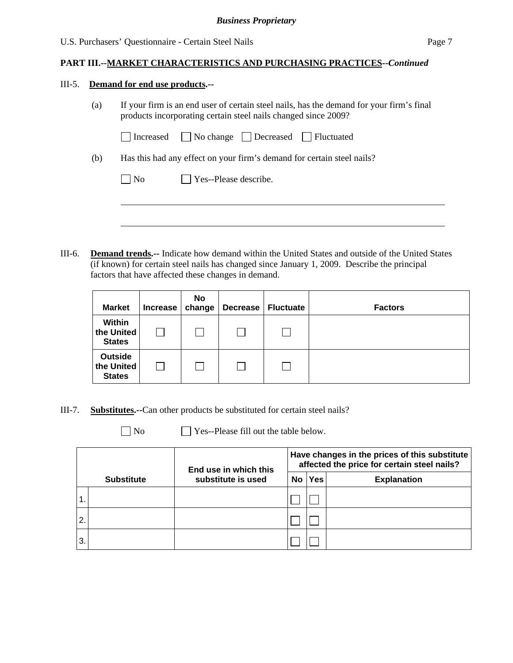#### III-5. **Demand for end use products.--**

 $\overline{a}$ 

(a) If your firm is an end user of certain steel nails, has the demand for your firm's final products incorporating certain steel nails changed since 2009?

| Increased | No change | Decreased | Fluctuated |
|-----------|-----------|-----------|------------|
|-----------|-----------|-----------|------------|

(b) Has this had any effect on your firm's demand for certain steel nails?

III-6. **Demand trends.--** Indicate how demand within the United States and outside of the United States (if known) for certain steel nails has changed since January 1, 2009. Describe the principal factors that have affected these changes in demand.

| <b>Market</b>                                 | <b>Increase</b> | No<br>change | Decrease | <b>Fluctuate</b> | <b>Factors</b> |
|-----------------------------------------------|-----------------|--------------|----------|------------------|----------------|
| Within<br>the United<br><b>States</b>         |                 |              |          |                  |                |
| <b>Outside</b><br>the United<br><b>States</b> |                 |              |          |                  |                |

III-7. **Substitutes.--**Can other products be substituted for certain steel nails?

 $\Box$  No  $\Box$  Yes--Please fill out the table below.

|                |                   | End use in which this |           | Have changes in the prices of this substitute<br>affected the price for certain steel nails? |                    |  |  |
|----------------|-------------------|-----------------------|-----------|----------------------------------------------------------------------------------------------|--------------------|--|--|
|                | <b>Substitute</b> | substitute is used    | <b>No</b> | Yes                                                                                          | <b>Explanation</b> |  |  |
| $^{\circ}$ 1.  |                   |                       |           |                                                                                              |                    |  |  |
| $^{\prime}$ 2. |                   |                       |           |                                                                                              |                    |  |  |
| 3              |                   |                       |           |                                                                                              |                    |  |  |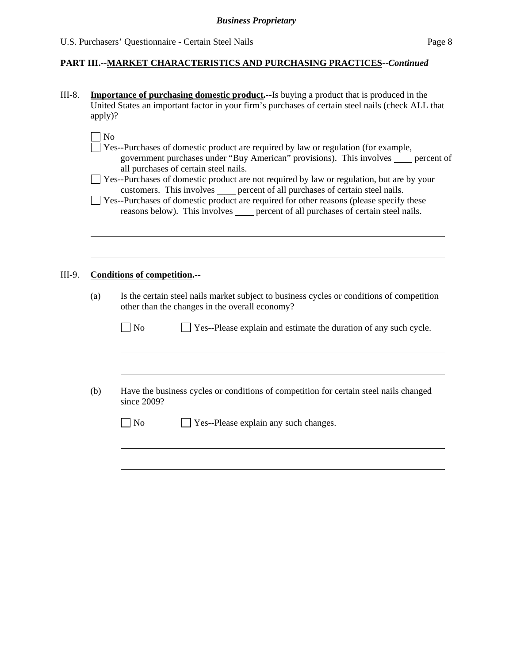III-8. **Importance of purchasing domestic product.--**Is buying a product that is produced in the United States an important factor in your firm's purchases of certain steel nails (check ALL that apply)?

| - |
|---|
|   |

l

- Yes--Purchases of domestic product are required by law or regulation (for example, government purchases under "Buy American" provisions). This involves percent of all purchases of certain steel nails.
- Yes--Purchases of domestic product are not required by law or regulation, but are by your customers. This involves sum percent of all purchases of certain steel nails.
- Yes--Purchases of domestic product are required for other reasons (please specify these reasons below). This involves <u>percent of all purchases of certain steel nails</u>.

#### III-9. **Conditions of competition.--**

 $\overline{a}$ 

 $\overline{a}$ 

(a) Is the certain steel nails market subject to business cycles or conditions of competition other than the changes in the overall economy?

| N <sub>o</sub> | $\Box$ Yes--Please explain and estimate the duration of any such cycle. |
|----------------|-------------------------------------------------------------------------|
|                |                                                                         |

(b) Have the business cycles or conditions of competition for certain steel nails changed since 2009?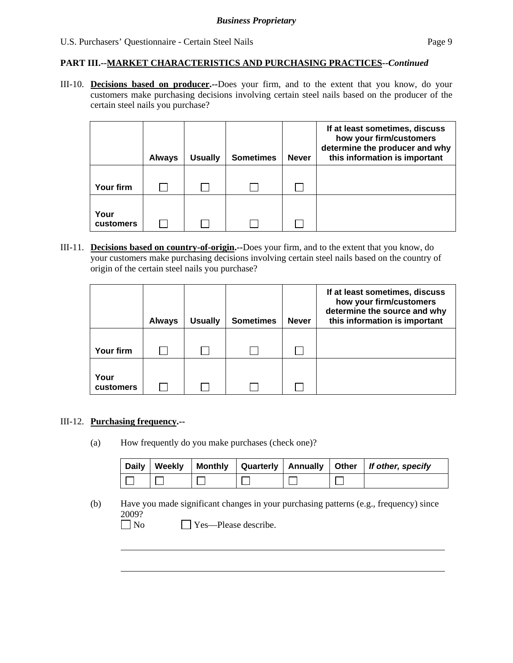III-10. **Decisions based on producer.--**Does your firm, and to the extent that you know, do your customers make purchasing decisions involving certain steel nails based on the producer of the certain steel nails you purchase?

|                   | <b>Always</b> | <b>Usually</b> | <b>Sometimes</b> | <b>Never</b> | If at least sometimes, discuss<br>how your firm/customers<br>determine the producer and why<br>this information is important |
|-------------------|---------------|----------------|------------------|--------------|------------------------------------------------------------------------------------------------------------------------------|
| Your firm         |               |                |                  |              |                                                                                                                              |
| Your<br>customers |               |                |                  |              |                                                                                                                              |

III-11. **Decisions based on country-of-origin.--**Does your firm, and to the extent that you know, do your customers make purchasing decisions involving certain steel nails based on the country of origin of the certain steel nails you purchase?

|                   | <b>Always</b> | <b>Usually</b> | <b>Sometimes</b> | <b>Never</b> | If at least sometimes, discuss<br>how your firm/customers<br>determine the source and why<br>this information is important |
|-------------------|---------------|----------------|------------------|--------------|----------------------------------------------------------------------------------------------------------------------------|
| Your firm         |               |                |                  |              |                                                                                                                            |
| Your<br>customers |               |                |                  |              |                                                                                                                            |

#### III-12. **Purchasing frequency.--**

 $\overline{a}$ 

(a) How frequently do you make purchases (check one)?

|  |  |  | Daily   Weekly   Monthly   Quarterly   Annually   Other   If other, specify |
|--|--|--|-----------------------------------------------------------------------------|
|  |  |  |                                                                             |

- (b) Have you made significant changes in your purchasing patterns (e.g., frequency) since 2009?
	- No Yes—Please describe.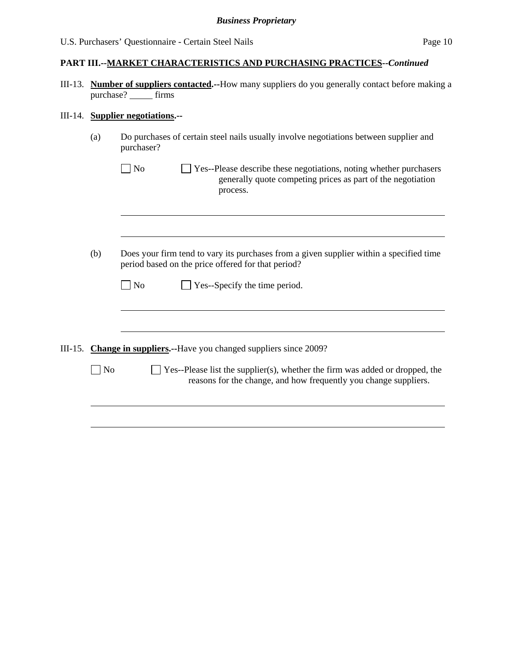III-13. **Number of suppliers contacted.--**How many suppliers do you generally contact before making a purchase? firms

# III-14. **Supplier negotiations.--**

| (a)            | Do purchases of certain steel nails usually involve negotiations between supplier and<br>purchaser?                                                             |
|----------------|-----------------------------------------------------------------------------------------------------------------------------------------------------------------|
|                | N <sub>o</sub><br>Yes--Please describe these negotiations, noting whether purchasers<br>generally quote competing prices as part of the negotiation<br>process. |
|                |                                                                                                                                                                 |
| (b)            | Does your firm tend to vary its purchases from a given supplier within a specified time<br>period based on the price offered for that period?                   |
|                | Yes--Specify the time period.<br>No                                                                                                                             |
|                |                                                                                                                                                                 |
|                | III-15. Change in suppliers.--Have you changed suppliers since 2009?                                                                                            |
| N <sub>o</sub> | Yes--Please list the supplier(s), whether the firm was added or dropped, the<br>reasons for the change, and how frequently you change suppliers.                |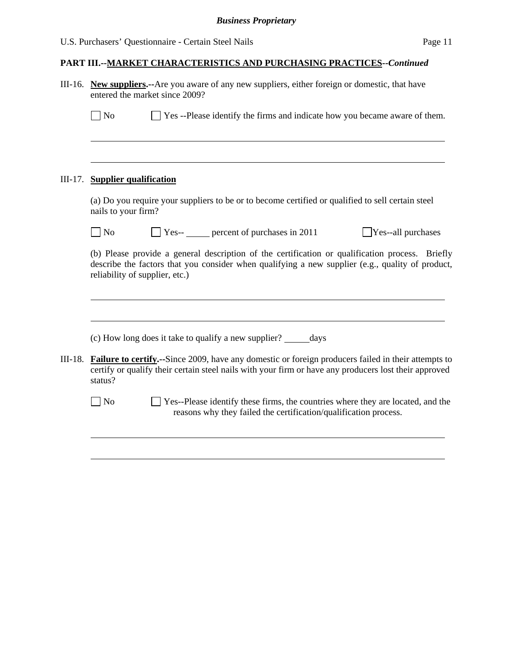| III-16. New suppliers.-- Are you aware of any new suppliers, either foreign or domestic, that have<br>entered the market since 2009?                                                                                                  |
|---------------------------------------------------------------------------------------------------------------------------------------------------------------------------------------------------------------------------------------|
| □ Yes --Please identify the firms and indicate how you became aware of them.<br>$\Box$ No                                                                                                                                             |
|                                                                                                                                                                                                                                       |
| III-17. Supplier qualification                                                                                                                                                                                                        |
| (a) Do you require your suppliers to be or to become certified or qualified to sell certain steel<br>nails to your firm?                                                                                                              |
| $\Box$ Yes-- $\Box$ percent of purchases in 2011<br>$\Box$ No<br>$\exists$ Yes--all purchases                                                                                                                                         |
| (b) Please provide a general description of the certification or qualification process. Briefly<br>describe the factors that you consider when qualifying a new supplier (e.g., quality of product,<br>reliability of supplier, etc.) |
| (c) How long does it take to qualify a new supplier? ______ days                                                                                                                                                                      |
| III-18. Failure to certify.--Since 2009, have any domestic or foreign producers failed in their attempts to<br>certify or qualify their certain steel nails with your firm or have any producers lost their approved<br>status?       |
| $\exists$ No<br>Yes--Please identify these firms, the countries where they are located, and the<br>reasons why they failed the certification/qualification process.                                                                   |
|                                                                                                                                                                                                                                       |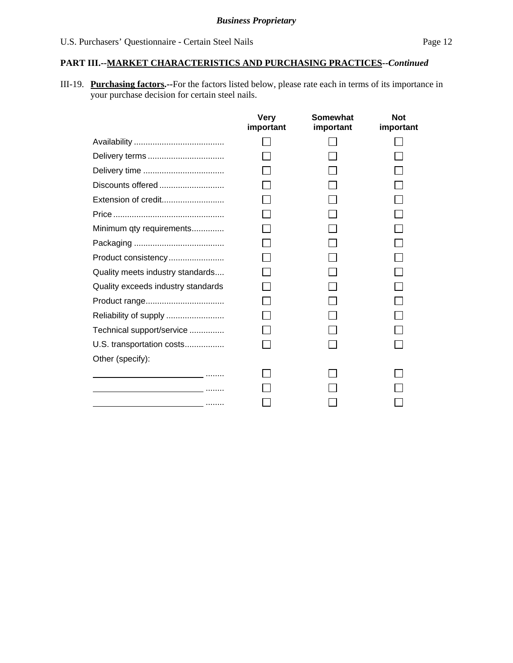III-19. **Purchasing factors.--**For the factors listed below, please rate each in terms of its importance in your purchase decision for certain steel nails.

|                                                                                 | <b>Very</b><br>important | Somewhat<br>important | <b>Not</b><br>important |
|---------------------------------------------------------------------------------|--------------------------|-----------------------|-------------------------|
|                                                                                 |                          |                       |                         |
| Delivery terms                                                                  |                          |                       |                         |
|                                                                                 |                          |                       |                         |
| Discounts offered                                                               |                          |                       |                         |
| Extension of credit                                                             |                          |                       |                         |
|                                                                                 |                          |                       |                         |
| Minimum qty requirements                                                        |                          |                       |                         |
|                                                                                 |                          |                       |                         |
| Product consistency                                                             |                          |                       |                         |
| Quality meets industry standards                                                |                          |                       |                         |
| Quality exceeds industry standards                                              |                          |                       |                         |
|                                                                                 |                          |                       |                         |
| Reliability of supply                                                           |                          |                       |                         |
| Technical support/service                                                       |                          |                       |                         |
| U.S. transportation costs                                                       |                          |                       |                         |
| Other (specify):                                                                |                          |                       |                         |
|                                                                                 |                          |                       |                         |
|                                                                                 |                          |                       |                         |
| the contract of the contract of the contract of the contract of the contract of |                          |                       |                         |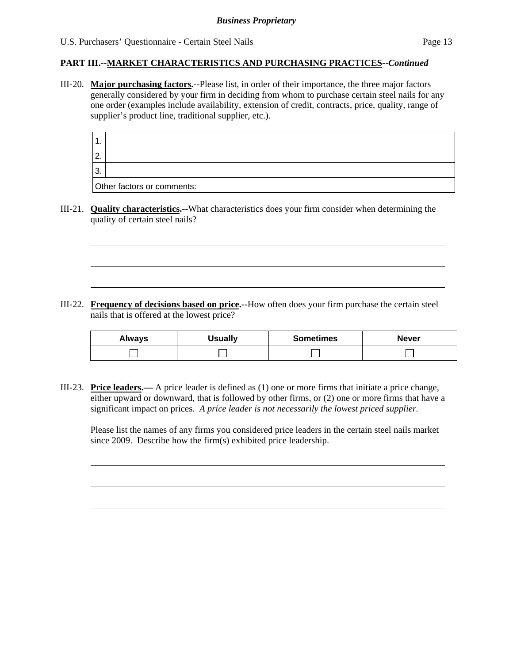l

l

## **PART III.--MARKET CHARACTERISTICS AND PURCHASING PRACTICES***--Continued*

III-20. **Major purchasing factors.--**Please list, in order of their importance, the three major factors generally considered by your firm in deciding from whom to purchase certain steel nails for any one order (examples include availability, extension of credit, contracts, price, quality, range of supplier's product line, traditional supplier, etc.).

| $\mathbf 1$ |                            |
|-------------|----------------------------|
| l 2.        |                            |
| l 3.        |                            |
|             | Other factors or comments: |

III-21. **Quality characteristics.--**What characteristics does your firm consider when determining the quality of certain steel nails?

III-22. **Frequency of decisions based on price.--**How often does your firm purchase the certain steel nails that is offered at the lowest price?

| <b>Always</b> | <b>Usually</b> | <b>Sometimes</b> | <b>Never</b> |  |  |  |
|---------------|----------------|------------------|--------------|--|--|--|
|               |                |                  |              |  |  |  |

III-23. **Price leaders.—** A price leader is defined as (1) one or more firms that initiate a price change, either upward or downward, that is followed by other firms, or (2) one or more firms that have a significant impact on prices. *A price leader is not necessarily the lowest priced supplier.* 

Please list the names of any firms you considered price leaders in the certain steel nails market since 2009. Describe how the firm(s) exhibited price leadership.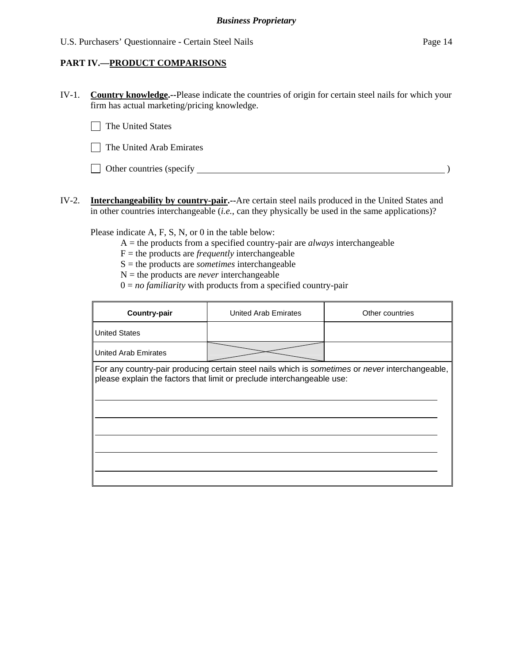## **PART IV.—PRODUCT COMPARISONS**

IV-1. **Country knowledge.--**Please indicate the countries of origin for certain steel nails for which your firm has actual marketing/pricing knowledge.

 $\Box$  The United States

| $\Box$ The United Arab Emirates |  |
|---------------------------------|--|
|---------------------------------|--|

- Other countries (specify )
- IV-2. **Interchangeability by country-pair.--**Are certain steel nails produced in the United States and in other countries interchangeable (*i.e.*, can they physically be used in the same applications)?

Please indicate A, F, S, N, or 0 in the table below:

A = the products from a specified country-pair are *always* interchangeable

 $F =$  the products are *frequently* interchangeable

S = the products are *sometimes* interchangeable

 $N =$  the products are *never* interchangeable

 $0 = no$  *familiarity* with products from a specified country-pair

| <b>Country-pair</b>         | United Arab Emirates                                                   | Other countries                                                                                 |
|-----------------------------|------------------------------------------------------------------------|-------------------------------------------------------------------------------------------------|
| <b>United States</b>        |                                                                        |                                                                                                 |
| <b>United Arab Emirates</b> |                                                                        |                                                                                                 |
|                             | please explain the factors that limit or preclude interchangeable use: | For any country-pair producing certain steel nails which is sometimes or never interchangeable, |
|                             |                                                                        |                                                                                                 |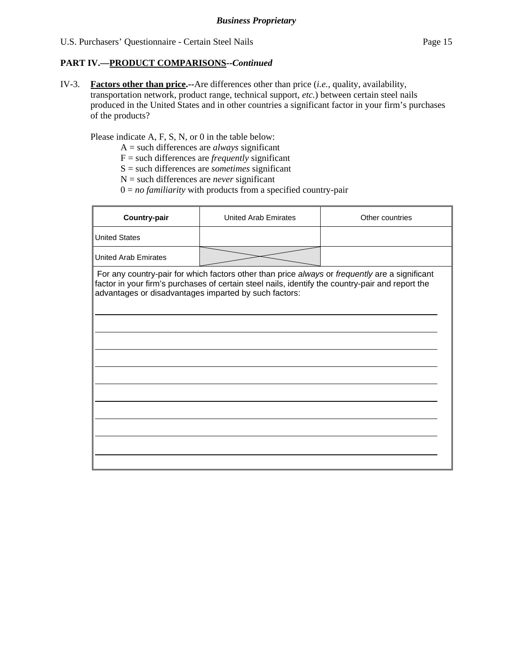### **PART IV.—PRODUCT COMPARISONS***--Continued*

IV-3. **Factors other than price.--**Are differences other than price (*i.e.*, quality, availability, transportation network, product range, technical support, *etc.*) between certain steel nails produced in the United States and in other countries a significant factor in your firm's purchases of the products?

Please indicate A, F, S, N, or 0 in the table below:

- A = such differences are *always* significant
- F = such differences are *frequently* significant
- S = such differences are *sometimes* significant
- N = such differences are *never* significant
- $0 = no$  *familiarity* with products from a specified country-pair

| <b>United States</b>                                                                                                                                                                                                                                        |  |
|-------------------------------------------------------------------------------------------------------------------------------------------------------------------------------------------------------------------------------------------------------------|--|
| <b>United Arab Emirates</b>                                                                                                                                                                                                                                 |  |
| For any country-pair for which factors other than price always or frequently are a significant<br>factor in your firm's purchases of certain steel nails, identify the country-pair and report the<br>advantages or disadvantages imparted by such factors: |  |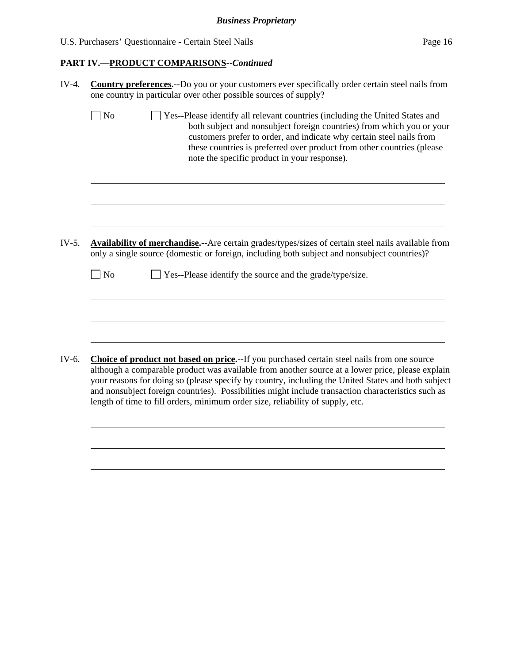# **PART IV.—PRODUCT COMPARISONS***--Continued*

| IV-4. | <b>Country preferences.</b> --Do you or your customers ever specifically order certain steel nails from<br>one country in particular over other possible sources of supply?                                                                                                                                                                                                                                                                                                                   |  |  |  |  |  |  |
|-------|-----------------------------------------------------------------------------------------------------------------------------------------------------------------------------------------------------------------------------------------------------------------------------------------------------------------------------------------------------------------------------------------------------------------------------------------------------------------------------------------------|--|--|--|--|--|--|
|       | No<br>Yes--Please identify all relevant countries (including the United States and<br>both subject and nonsubject foreign countries) from which you or your<br>customers prefer to order, and indicate why certain steel nails from<br>these countries is preferred over product from other countries (please<br>note the specific product in your response).                                                                                                                                 |  |  |  |  |  |  |
|       |                                                                                                                                                                                                                                                                                                                                                                                                                                                                                               |  |  |  |  |  |  |
| IV-5. | Availability of merchandise.--Are certain grades/types/sizes of certain steel nails available from<br>only a single source (domestic or foreign, including both subject and nonsubject countries)?<br>$\exists$ No<br>Yes--Please identify the source and the grade/type/size.                                                                                                                                                                                                                |  |  |  |  |  |  |
|       |                                                                                                                                                                                                                                                                                                                                                                                                                                                                                               |  |  |  |  |  |  |
| IV-6. | Choice of product not based on price.--If you purchased certain steel nails from one source<br>although a comparable product was available from another source at a lower price, please explain<br>your reasons for doing so (please specify by country, including the United States and both subject<br>and nonsubject foreign countries). Possibilities might include transaction characteristics such as<br>length of time to fill orders, minimum order size, reliability of supply, etc. |  |  |  |  |  |  |
|       |                                                                                                                                                                                                                                                                                                                                                                                                                                                                                               |  |  |  |  |  |  |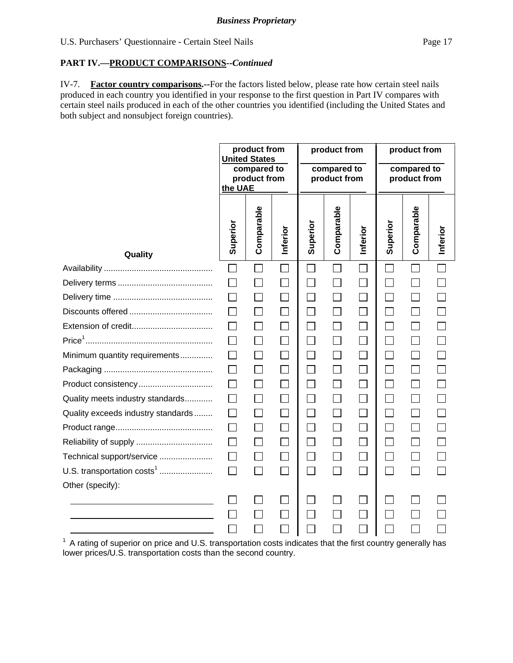## **PART IV.—PRODUCT COMPARISONS***--Continued*

IV-7. **Factor country comparisons.--**For the factors listed below, please rate how certain steel nails produced in each country you identified in your response to the first question in Part IV compares with certain steel nails produced in each of the other countries you identified (including the United States and both subject and nonsubject foreign countries).

|                                        | product from<br><b>United States</b><br>compared to<br>product from<br>the UAE |              | product from<br>compared to<br>product from |                             |                | product from<br>compared to<br>product from |               |              |          |
|----------------------------------------|--------------------------------------------------------------------------------|--------------|---------------------------------------------|-----------------------------|----------------|---------------------------------------------|---------------|--------------|----------|
| Quality                                | Superior                                                                       | Comparable   | Inferior                                    | Superior                    | Comparable     | Inferior                                    | Superior      | Comparable   | Inferior |
|                                        | П                                                                              | $\mathbf{I}$ |                                             |                             | $\blacksquare$ | $\mathcal{L}_{\mathcal{A}}$                 | $\mathbf{I}$  |              |          |
|                                        |                                                                                | $\Box$       |                                             |                             |                | $\Box$                                      |               |              |          |
|                                        |                                                                                | $\Box$       |                                             |                             |                | $\Box$                                      | $\mathcal{L}$ |              |          |
|                                        |                                                                                | $\Box$       |                                             | $\mathcal{L}_{\mathcal{A}}$ |                | $\Box$                                      | $\mathcal{L}$ |              |          |
|                                        |                                                                                | $\Box$       |                                             | $\Box$                      |                | $\Box$                                      | $\mathsf{L}$  |              |          |
|                                        |                                                                                | $\Box$       |                                             |                             |                | $\Box$                                      |               |              |          |
| Minimum quantity requirements          |                                                                                | $\Box$       |                                             | $\Box$                      |                | $\Box$                                      | $\Box$        | $\mathsf{L}$ |          |
|                                        |                                                                                | $\Box$       |                                             | $\mathcal{L}$               |                | $\Box$                                      | $\Box$        |              |          |
| Product consistency                    |                                                                                | $\Box$       |                                             |                             |                | $\Box$                                      |               |              |          |
| Quality meets industry standards       |                                                                                | $\Box$       |                                             |                             |                |                                             |               |              |          |
| Quality exceeds industry standards     |                                                                                | $\Box$       |                                             |                             |                | $\Box$                                      |               |              |          |
|                                        |                                                                                |              |                                             |                             |                |                                             |               |              |          |
|                                        |                                                                                | $\Box$       |                                             |                             |                | $\Box$                                      |               |              |          |
| Technical support/service              |                                                                                |              |                                             |                             |                |                                             |               |              |          |
| U.S. transportation costs <sup>1</sup> | $\Box$                                                                         | $\Box$       |                                             | $\overline{\phantom{0}}$    |                | $\Box$                                      | $\Box$        |              |          |
| Other (specify):                       |                                                                                |              |                                             |                             |                |                                             |               |              |          |
|                                        |                                                                                |              |                                             |                             |                |                                             |               |              |          |
|                                        |                                                                                |              |                                             |                             |                |                                             |               |              |          |
|                                        |                                                                                |              |                                             |                             |                |                                             |               |              |          |

 $1$  A rating of superior on price and U.S. transportation costs indicates that the first country generally has lower prices/U.S. transportation costs than the second country.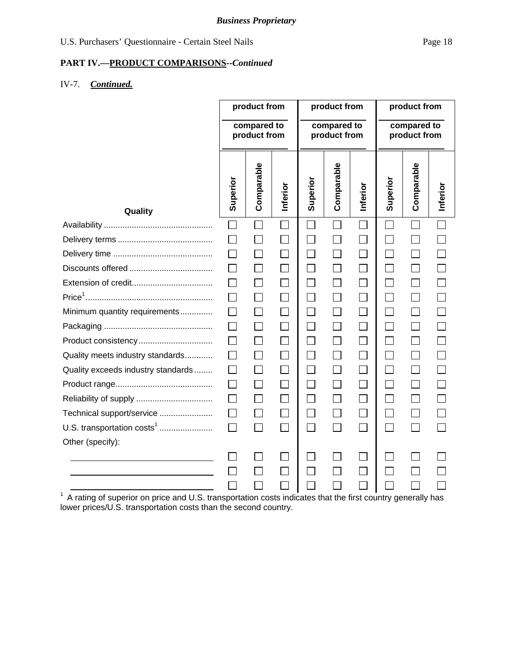# **PART IV.—PRODUCT COMPARISONS***--Continued*

# IV-7. *Continued.*

|                                                                                                                | product from                |                | product from                |                             |              | product from                |          |                          |          |
|----------------------------------------------------------------------------------------------------------------|-----------------------------|----------------|-----------------------------|-----------------------------|--------------|-----------------------------|----------|--------------------------|----------|
|                                                                                                                | compared to<br>product from |                | compared to<br>product from |                             |              | compared to<br>product from |          |                          |          |
| Quality                                                                                                        | Superior                    | Comparable     | Inferior                    | Superior                    | Comparable   | Inferior                    | Superior | Comparable               | Inferior |
|                                                                                                                | $\Box$                      |                |                             | $\mathcal{L}$               | П            |                             |          |                          |          |
|                                                                                                                |                             |                |                             |                             |              |                             |          |                          |          |
|                                                                                                                |                             |                |                             |                             |              |                             |          |                          |          |
|                                                                                                                |                             |                |                             | $\mathcal{L}_{\mathcal{A}}$ |              | $\Box$                      |          |                          |          |
|                                                                                                                |                             |                |                             | $\Box$                      |              | $\Box$                      | $\sim$   | $\mathsf{L}$             |          |
|                                                                                                                |                             |                |                             | $\Box$                      |              | $\Box$                      |          |                          |          |
| Minimum quantity requirements                                                                                  |                             |                |                             | $\Box$                      |              | $\Box$                      |          | $\Box$                   |          |
|                                                                                                                | $\mathsf{L}$                |                |                             | П                           | $\mathbf{I}$ | $\Box$                      | $\sim$   | $\overline{\phantom{a}}$ |          |
| Product consistency                                                                                            |                             |                |                             | $\sim$                      |              | $\Box$                      |          |                          |          |
| Quality meets industry standards                                                                               |                             |                |                             | $\vert \ \ \vert$           |              | $\mathsf{I}$                |          | $\mathsf{L}$             |          |
| Quality exceeds industry standards                                                                             |                             |                |                             | $\mathbb{R}^n$              |              | $\mathcal{L}_{\mathcal{A}}$ |          |                          |          |
|                                                                                                                |                             |                |                             |                             |              |                             |          |                          |          |
|                                                                                                                |                             | $\mathsf{L}$   |                             | $\Box$                      | $\mathsf{L}$ | $\Box$                      | $\sim$   | $\Box$                   |          |
| Technical support/service                                                                                      |                             |                |                             | $\Box$                      |              | $\Box$                      |          |                          |          |
| U.S. transportation costs <sup>1</sup>                                                                         | $\mathsf{L}$                | $\blacksquare$ |                             | П                           |              |                             | $\sim$   | $\mathsf{L}$             |          |
| Other (specify):                                                                                               |                             |                |                             |                             |              |                             |          |                          |          |
|                                                                                                                |                             |                |                             |                             |              |                             |          |                          |          |
|                                                                                                                |                             |                |                             |                             |              |                             |          |                          |          |
|                                                                                                                |                             |                |                             |                             |              |                             |          |                          |          |
| $1$ A rating of superior on price and U.S. transportation costs indicates that the first country generally has |                             |                |                             |                             |              |                             |          |                          |          |

lower prices/U.S. transportation costs than the second country.